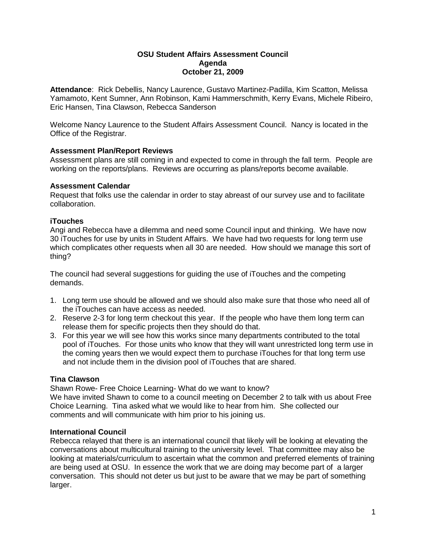#### **OSU Student Affairs Assessment Council Agenda October 21, 2009**

**Attendance**: Rick Debellis, Nancy Laurence, Gustavo Martinez-Padilla, Kim Scatton, Melissa Yamamoto, Kent Sumner, Ann Robinson, Kami Hammerschmith, Kerry Evans, Michele Ribeiro, Eric Hansen, Tina Clawson, Rebecca Sanderson

Welcome Nancy Laurence to the Student Affairs Assessment Council. Nancy is located in the Office of the Registrar.

# **Assessment Plan/Report Reviews**

Assessment plans are still coming in and expected to come in through the fall term. People are working on the reports/plans. Reviews are occurring as plans/reports become available.

#### **Assessment Calendar**

Request that folks use the calendar in order to stay abreast of our survey use and to facilitate collaboration.

## **iTouches**

Angi and Rebecca have a dilemma and need some Council input and thinking. We have now 30 iTouches for use by units in Student Affairs. We have had two requests for long term use which complicates other requests when all 30 are needed. How should we manage this sort of thing?

The council had several suggestions for guiding the use of iTouches and the competing demands.

- 1. Long term use should be allowed and we should also make sure that those who need all of the iTouches can have access as needed.
- 2. Reserve 2-3 for long term checkout this year. If the people who have them long term can release them for specific projects then they should do that.
- 3. For this year we will see how this works since many departments contributed to the total pool of iTouches. For those units who know that they will want unrestricted long term use in the coming years then we would expect them to purchase iTouches for that long term use and not include them in the division pool of iTouches that are shared.

# **Tina Clawson**

Shawn Rowe- Free Choice Learning- What do we want to know?

We have invited Shawn to come to a council meeting on December 2 to talk with us about Free Choice Learning. Tina asked what we would like to hear from him. She collected our comments and will communicate with him prior to his joining us.

## **International Council**

Rebecca relayed that there is an international council that likely will be looking at elevating the conversations about multicultural training to the university level. That committee may also be looking at materials/curriculum to ascertain what the common and preferred elements of training are being used at OSU. In essence the work that we are doing may become part of a larger conversation. This should not deter us but just to be aware that we may be part of something larger.